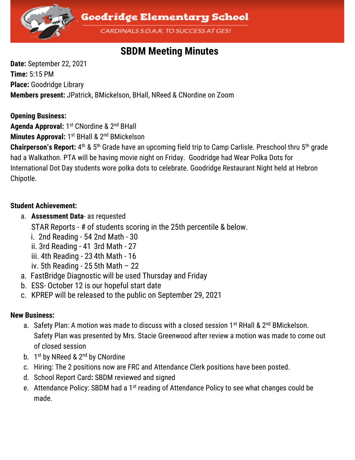

# **SBDM Meeting Minutes**

**Date:** September 22, 2021 **Time:** 5:15 PM **Place:** Goodridge Library **Members present:** JPatrick, BMickelson, BHall, NReed & CNordine on Zoom

#### **Opening Business:**

Agenda Approval: 1<sup>st</sup> CNordine & 2<sup>nd</sup> BHall

**Minutes Approval:** 1<sup>st</sup> BHall & 2<sup>nd</sup> BMickelson

Chairperson's Report: 4<sup>th</sup> & 5<sup>th</sup> Grade have an upcoming field trip to Camp Carlisle. Preschool thru 5<sup>th</sup> grade had a Walkathon. PTA will be having movie night on Friday. Goodridge had Wear Polka Dots for International Dot Day students wore polka dots to celebrate. Goodridge Restaurant Night held at Hebron Chipotle.

## **Student Achievement:**

a. **Assessment Data**- as requested

STAR Reports - # of students scoring in the 25th percentile & below.

- i. 2nd Reading 54 2nd Math 30
- ii. 3rd Reading 41 3rd Math 27
- iii. 4th Reading 23 4th Math 16
- iv. 5th Reading 25 5th Math  $-22$
- a. FastBridge Diagnostic will be used Thursday and Friday
- b. ESS- October 12 is our hopeful start date
- c. KPREP will be released to the public on September 29, 2021

## **New Business:**

- a. Safety Plan: A motion was made to discuss with a closed session 1<sup>st</sup> RHall & 2<sup>nd</sup> BMickelson. Safety Plan was presented by Mrs. Stacie Greenwood after review a motion was made to come out of closed session
- b. 1st by NReed & 2<sup>nd</sup> by CNordine
- c. Hiring: The 2 positions now are FRC and Attendance Clerk positions have been posted.
- d. School Report Card**:** SBDM reviewed and signed
- e. Attendance Policy: SBDM had a 1<sup>st</sup> reading of Attendance Policy to see what changes could be made.